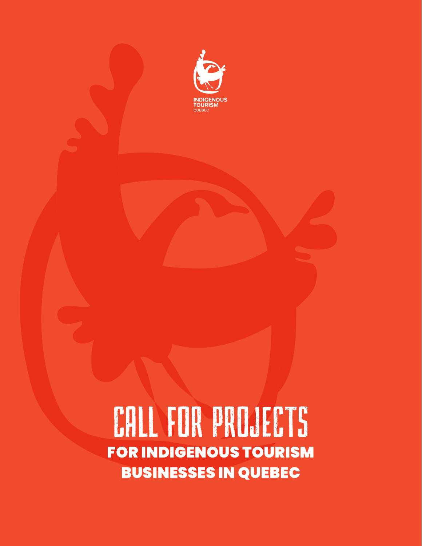

CALL FOR PROJECTS FOR INDIGENOUS TOURISM BUSINESSES IN QUEBEC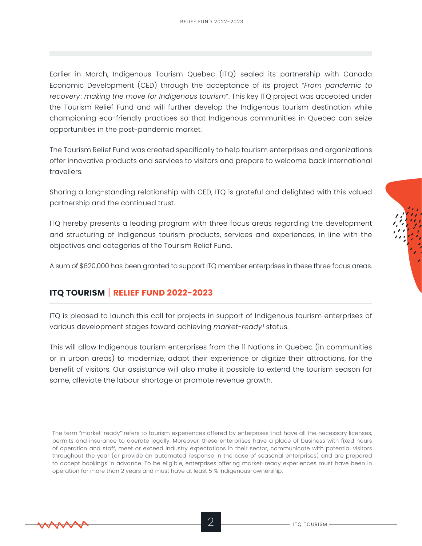Earlier in March, Indigenous Tourism Quebec (ITQ) sealed its partnership with Canada Economic Development (CED) through the acceptance of its project *"From pandemic to recovery: making the move for Indigenous tourism"*. This key ITQ project was accepted under the Tourism Relief Fund and will further develop the Indigenous tourism destination while championing eco-friendly practices so that Indigenous communities in Quebec can seize opportunities in the post-pandemic market.

The Tourism Relief Fund was created specifically to help tourism enterprises and organizations offer innovative products and services to visitors and prepare to welcome back international travellers.

Sharing a long-standing relationship with CED, ITQ is grateful and delighted with this valued partnership and the continued trust.

ITQ hereby presents a leading program with three focus areas regarding the development and structuring of Indigenous tourism products, services and experiences, in line with the objectives and categories of the Tourism Relief Fund.

A sum of \$620,000 has been granted to support ITQ member enterprises in these three focus areas.

# **ITQ TOURISM** | **RELIEF FUND 2022-2023**

ITQ is pleased to launch this call for projects in support of Indigenous tourism enterprises of various development stages toward achieving *market-ready* ' status.

This will allow Indigenous tourism enterprises from the 11 Nations in Quebec (in communities or in urban areas) to modernize, adapt their experience or digitize their attractions, for the benefit of visitors. Our assistance will also make it possible to extend the tourism season for some, alleviate the labour shortage or promote revenue growth.



<sup>1</sup> The term "market-ready" refers to tourism experiences offered by enterprises that have all the necessary licenses, permits and insurance to operate legally. Moreover, these enterprises have a place of business with fixed hours of operation and staff, meet or exceed industry expectations in their sector, communicate with potential visitors throughout the year (or provide an automated response in the case of seasonal enterprises) and are prepared to accept bookings in advance. To be eligible, enterprises offering market-ready experiences must have been in operation for more than 2 years and must have at least 51% Indigenous-ownership.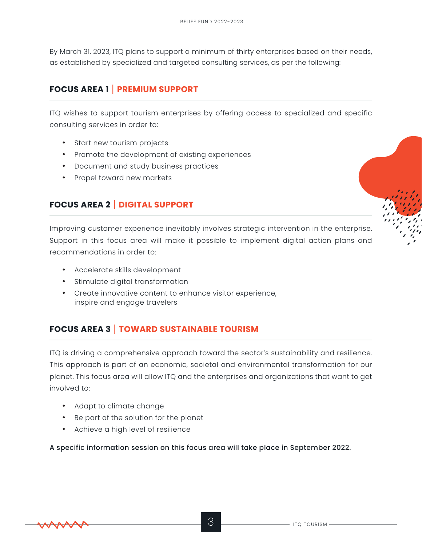By March 31, 2023, ITQ plans to support a minimum of thirty enterprises based on their needs, as established by specialized and targeted consulting services, as per the following:

# **FOCUS AREA 1** | **PREMIUM SUPPORT**

ITQ wishes to support tourism enterprises by offering access to specialized and specific consulting services in order to:

- Start new tourism projects
- Promote the development of existing experiences
- Document and study business practices
- Propel toward new markets

# **FOCUS AREA 2** | **DIGITAL SUPPORT**

Improving customer experience inevitably involves strategic intervention in the enterprise. Support in this focus area will make it possible to implement digital action plans and recommendations in order to:

- Accelerate skills development
- Stimulate digital transformation
- Create innovative content to enhance visitor experience, inspire and engage travelers

# **FOCUS AREA 3** | **TOWARD SUSTAINABLE TOURISM**

ITQ is driving a comprehensive approach toward the sector's sustainability and resilience. This approach is part of an economic, societal and environmental transformation for our planet. This focus area will allow ITQ and the enterprises and organizations that want to get involved to:

- Adapt to climate change
- Be part of the solution for the planet
- Achieve a high level of resilience

A specific information session on this focus area will take place in September 2022.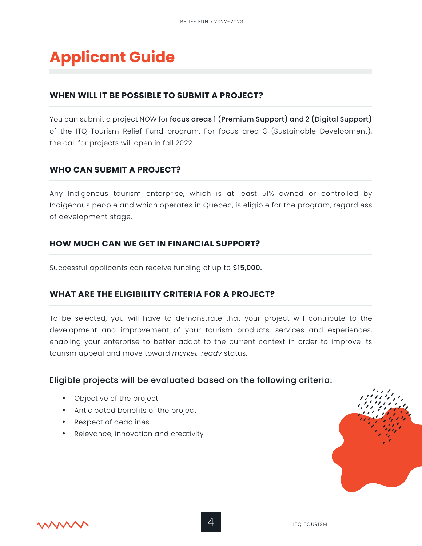# **Applicant Guide**

## **WHEN WILL IT BE POSSIBLE TO SUBMIT A PROJECT?**

You can submit a project NOW for focus areas 1 (Premium Support) and 2 (Digital Support) of the ITQ Tourism Relief Fund program. For focus area 3 (Sustainable Development), the call for projects will open in fall 2022.

## **WHO CAN SUBMIT A PROJECT?**

Any Indigenous tourism enterprise, which is at least 51% owned or controlled by Indigenous people and which operates in Quebec, is eligible for the program, regardless of development stage.

#### **HOW MUCH CAN WE GET IN FINANCIAL SUPPORT?**

Successful applicants can receive funding of up to \$15,000.

#### **WHAT ARE THE ELIGIBILITY CRITERIA FOR A PROJECT?**

To be selected, you will have to demonstrate that your project will contribute to the development and improvement of your tourism products, services and experiences, enabling your enterprise to better adapt to the current context in order to improve its tourism appeal and move toward *market-ready* status.

## Eligible projects will be evaluated based on the following criteria:

- Objective of the project
- Anticipated benefits of the project
- Respect of deadlines
- Relevance, innovation and creativity

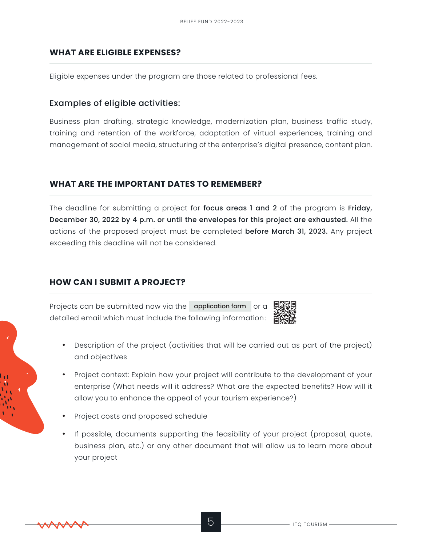#### **WHAT ARE ELIGIBLE EXPENSES?**

Eligible expenses under the program are those related to professional fees.

#### Examples of eligible activities:

Business plan drafting, strategic knowledge, modernization plan, business traffic study, training and retention of the workforce, adaptation of virtual experiences, training and management of social media, structuring of the enterprise's digital presence, content plan.

## **WHAT ARE THE IMPORTANT DATES TO REMEMBER?**

The deadline for submitting a project for focus areas 1 and 2 of the program is Friday, December 30, 2022 by 4 p.m. or until the envelopes for this project are exhausted. All the actions of the proposed project must be completed before March 31, 2023. Any project exceeding this deadline will not be considered.

# **HOW CAN I SUBMIT A PROJECT?**

Projects can be submitted now via the [application form](https://forms.zohopublic.com/tourismeautochtonequbec/form/FONDSDAIDEENTOURISME20222023TAQITQTOURISMRELIEFFUN/formperma/RAA1Zs8Irt3tOl2bmoyMCq0ApxPR9AMw98_rnTuEWpA) or a detailed email which must include the following information :



- Description of the project (activities that will be carried out as part of the project) and objectives
- Project context: Explain how your project will contribute to the development of your enterprise (What needs will it address? What are the expected benefits? How will it allow you to enhance the appeal of your tourism experience?)
- Project costs and proposed schedule
- If possible, documents supporting the feasibility of your project (proposal, quote, business plan, etc.) or any other document that will allow us to learn more about your project